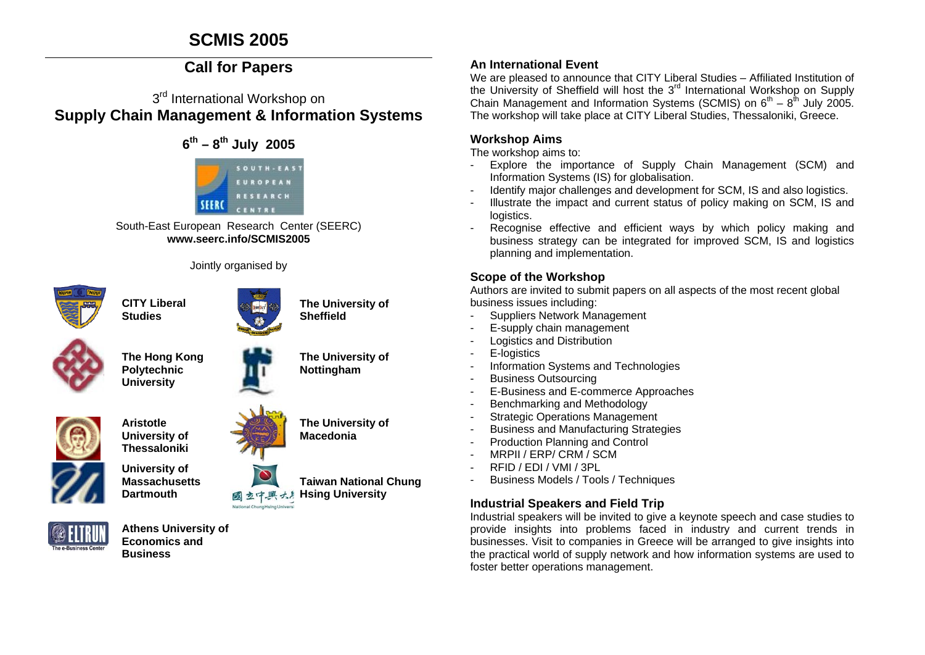# **SCMIS 2005**

# **Call for Papers**

# 3<sup>rd</sup> International Workshop on **Supply Chain Management & Information Systems**



South-East European Research Center (SEERC) **www.seerc.info/SCMIS2005** 

Jointly organised by



**CITY Liberal Studies** 



**The University of Sheffield** 

**The University of Nottingham** 



**The Hong Kong Polytechnic University** 



**Dartmouth** 

**Thessaloniki University of** 

**Massachusetts** 



**The University of Macedonia** 



**Taiwan National Chung Hsing University** 

# **An International Event**

We are pleased to announce that CITY Liberal Studies – Affiliated Institution of the University of Sheffield will host the 3<sup>rd</sup> International Workshop on Supply Chain Management and Information Systems (SCMIS) on  $6<sup>th</sup> - 8<sup>th</sup>$  July 2005. The workshop will take place at CITY Liberal Studies, Thessaloniki, Greece.

## **Workshop Aims**

The workshop aims to:

- Explore the importance of Supply Chain Management (SCM) and Information Systems (IS) for globalisation.
- Identify major challenges and development for SCM, IS and also logistics.
- Illustrate the impact and current status of policy making on SCM, IS and logistics.
- Recognise effective and efficient ways by which policy making and business strategy can be integrated for improved SCM, IS and logistics planning and implementation.

# **Scope of the Workshop**

Authors are invited to submit papers on all aspects of the most recent global business issues including:

- Suppliers Network Management
- E-supply chain management
- Logistics and Distribution
- E-logistics
- Information Systems and Technologies
- Business Outsourcing
- E-Business and E-commerce Approaches
- Benchmarking and Methodology
- **Strategic Operations Management**
- Business and Manufacturing Strategies
- Production Planning and Control
- MRPII / ERP/ CRM / SCM
- RFID / EDI / VMI / 3PL
- Business Models / Tools / Techniques

# **Industrial Speakers and Field Trip**

Industrial speakers will be invited to give a keynote speech and case studies to provide insights into problems faced in industry and current trends in businesses. Visit to companies in Greece will be arranged to give insights into the practical world of supply network and how information systems are used to foster better operations management.



**Athens University of Economics and Business**